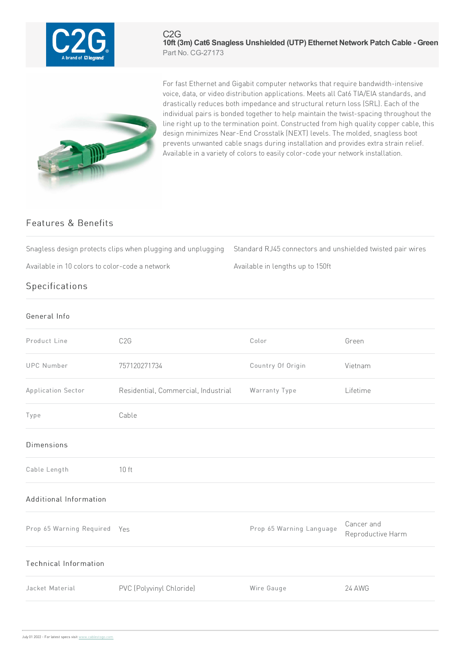

## C2G **10ft (3m) Cat6 Snagless Unshielded (UTP) Ethernet Network Patch Cable - Green** Part No. CG-27173



For fast Ethernet and Gigabit computer networks that require bandwidth-intensive voice, data, or video distribution applications. Meets all Cat6 TIA/EIA standards, and drastically reduces both impedance and structural return loss (SRL). Each of the individual pairs is bonded together to help maintain the twist-spacing throughout the line right up to the termination point. Constructed from high quality copper cable, this design minimizes Near-End Crosstalk (NEXT) levels. The molded, snagless boot prevents unwanted cable snags during installation and provides extra strain relief. Available in a variety of colors to easily color-code your network installation.

## Features & Benefits

Snagless design protects clips when plugging and unplugging Standard RJ45 connectors and unshielded twisted pair wires

Available in 10 colors to color-code a network Available in lengths up to 150ft

## Specifications

| General Info                 |                                     |                          |                                 |
|------------------------------|-------------------------------------|--------------------------|---------------------------------|
| Product Line                 | C <sub>2</sub> G                    | Color                    | Green                           |
| <b>UPC Number</b>            | 757120271734                        | Country Of Origin        | Vietnam                         |
| Application Sector           | Residential, Commercial, Industrial | Warranty Type            | Lifetime                        |
| Type                         | Cable                               |                          |                                 |
| <b>Dimensions</b>            |                                     |                          |                                 |
| Cable Length                 | 10 <sub>ft</sub>                    |                          |                                 |
| Additional Information       |                                     |                          |                                 |
| Prop 65 Warning Required Yes |                                     | Prop 65 Warning Language | Cancer and<br>Reproductive Harm |
| <b>Technical Information</b> |                                     |                          |                                 |
| Jacket Material              | PVC (Polyvinyl Chloride)            | Wire Gauge               | <b>24 AWG</b>                   |
|                              |                                     |                          |                                 |